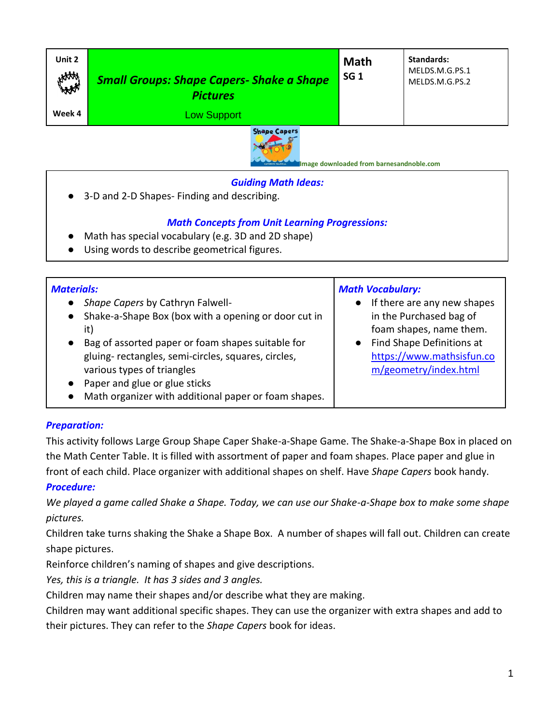| Unit 2<br>HAM    | <b>Small Groups: Shape Capers- Shake a Shape</b><br><b>Pictures</b> | <b>Math</b><br>SG <sub>1</sub> | <b>Standards:</b><br>MELDS.M.G.PS.1<br>MELDS.M.G.PS.2 |
|------------------|---------------------------------------------------------------------|--------------------------------|-------------------------------------------------------|
| Week 4           | <b>Low Support</b>                                                  |                                |                                                       |
| $Chans of space$ |                                                                     |                                |                                                       |



**Image downloaded from barnesandnoble.com**

*Math Vocabulary:*

● If there are any new shapes in the Purchased bag of foam shapes, name them. ● Find Shape Definitions at

> [https://www.mathsisfun.co](https://www.mathsisfun.com/geometry/index.html) [m/geometry/index.html](https://www.mathsisfun.com/geometry/index.html)

# *Guiding Math Ideas:*

3-D and 2-D Shapes- Finding and describing.

## *Math Concepts from Unit Learning Progressions:*

- Math has special vocabulary (e.g. 3D and 2D shape)
- Using words to describe geometrical figures.

### *Materials:*

- *Shape Capers* by Cathryn Falwell-
- Shake-a-Shape Box (box with a opening or door cut in it)
- Bag of assorted paper or foam shapes suitable for gluing- rectangles, semi-circles, squares, circles, various types of triangles
- Paper and glue or glue sticks
- Math organizer with additional paper or foam shapes.

# *Preparation:*

This activity follows Large Group Shape Caper Shake-a-Shape Game. The Shake-a-Shape Box in placed on the Math Center Table. It is filled with assortment of paper and foam shapes. Place paper and glue in front of each child. Place organizer with additional shapes on shelf. Have *Shape Capers* book handy.

### *Procedure:*

*We played a game called Shake a Shape. Today, we can use our Shake-a-Shape box to make some shape pictures.*

Children take turns shaking the Shake a Shape Box. A number of shapes will fall out. Children can create shape pictures.

Reinforce children's naming of shapes and give descriptions.

*Yes, this is a triangle. It has 3 sides and 3 angles.*

Children may name their shapes and/or describe what they are making.

Children may want additional specific shapes. They can use the organizer with extra shapes and add to

their pictures. They can refer to the *Shape Capers* book for ideas.